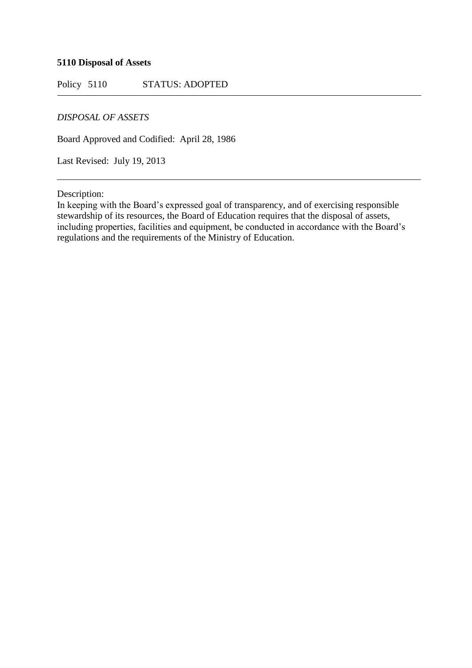## **5110 Disposal of Assets**

Policy 5110 STATUS: ADOPTED

## *DISPOSAL OF ASSETS*

Board Approved and Codified: April 28, 1986

Last Revised: July 19, 2013

Description:

In keeping with the Board's expressed goal of transparency, and of exercising responsible stewardship of its resources, the Board of Education requires that the disposal of assets, including properties, facilities and equipment, be conducted in accordance with the Board's regulations and the requirements of the Ministry of Education.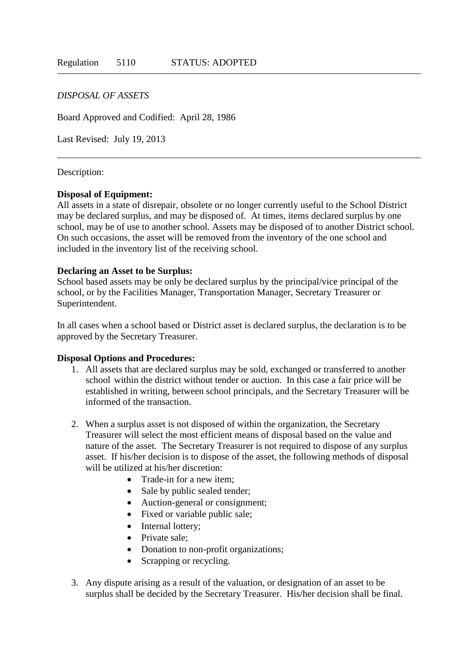## *DISPOSAL OF ASSETS*

Board Approved and Codified: April 28, 1986

Last Revised: July 19, 2013

#### Description:

#### **Disposal of Equipment:**

All assets in a state of disrepair, obsolete or no longer currently useful to the School District may be declared surplus, and may be disposed of. At times, items declared surplus by one school, may be of use to another school. Assets may be disposed of to another District school. On such occasions, the asset will be removed from the inventory of the one school and included in the inventory list of the receiving school.

### **Declaring an Asset to be Surplus:**

School based assets may be only be declared surplus by the principal/vice principal of the school, or by the Facilities Manager, Transportation Manager, Secretary Treasurer or Superintendent.

In all cases when a school based or District asset is declared surplus, the declaration is to be approved by the Secretary Treasurer.

#### **Disposal Options and Procedures:**

- 1. All assets that are declared surplus may be sold, exchanged or transferred to another school within the district without tender or auction. In this case a fair price will be established in writing, between school principals, and the Secretary Treasurer will be informed of the transaction.
- 2. When a surplus asset is not disposed of within the organization, the Secretary Treasurer will select the most efficient means of disposal based on the value and nature of the asset. The Secretary Treasurer is not required to dispose of any surplus asset. If his/her decision is to dispose of the asset, the following methods of disposal will be utilized at his/her discretion:
	- Trade-in for a new item:
	- Sale by public sealed tender;
	- Auction-general or consignment;
	- Fixed or variable public sale;
	- Internal lottery:
	- Private sale:
	- Donation to non-profit organizations;
	- Scrapping or recycling.
- 3. Any dispute arising as a result of the valuation, or designation of an asset to be surplus shall be decided by the Secretary Treasurer. His/her decision shall be final.